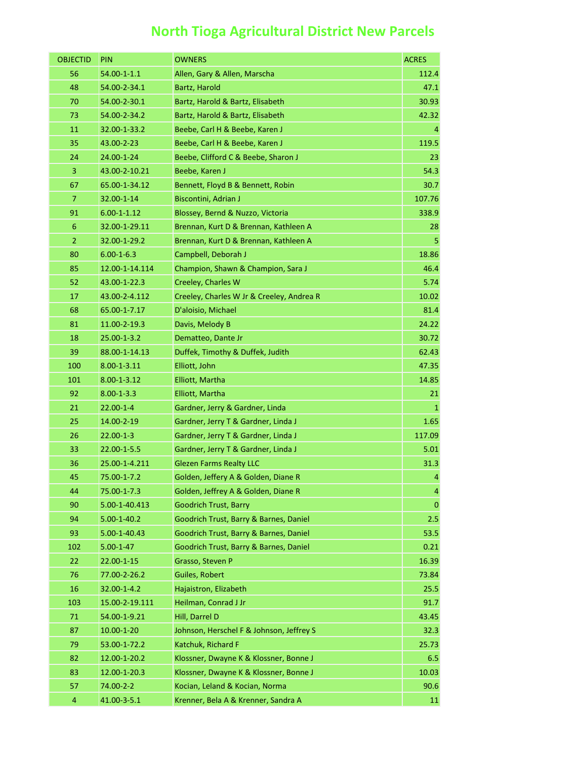## **North Tioga Agricultural District New Parcels**

| <b>OBJECTID</b> | PIN                | <b>OWNERS</b>                             | <b>ACRES</b>   |
|-----------------|--------------------|-------------------------------------------|----------------|
| 56              | $54.00 - 1 - 1.1$  | Allen, Gary & Allen, Marscha              | 112.4          |
| 48              | 54.00-2-34.1       | Bartz, Harold                             | 47.1           |
| 70              | 54.00-2-30.1       | Bartz, Harold & Bartz, Elisabeth          | 30.93          |
| 73              | 54.00-2-34.2       | Bartz, Harold & Bartz, Elisabeth          | 42.32          |
| 11              | 32.00-1-33.2       | Beebe, Carl H & Beebe, Karen J            | 4              |
| 35              | 43.00-2-23         | Beebe, Carl H & Beebe, Karen J            | 119.5          |
| 24              | 24.00-1-24         | Beebe, Clifford C & Beebe, Sharon J       | 23             |
| 3               | 43.00-2-10.21      | Beebe, Karen J                            | 54.3           |
| 67              | 65.00-1-34.12      | Bennett, Floyd B & Bennett, Robin         | 30.7           |
| 7               | 32.00-1-14         | Biscontini, Adrian J                      | 107.76         |
| 91              | $6.00 - 1 - 1.12$  | Blossey, Bernd & Nuzzo, Victoria          | 338.9          |
| 6               | 32.00-1-29.11      | Brennan, Kurt D & Brennan, Kathleen A     | 28             |
| $\overline{2}$  | 32.00-1-29.2       | Brennan, Kurt D & Brennan, Kathleen A     | 5              |
| 80              | $6.00 - 1 - 6.3$   | Campbell, Deborah J                       | 18.86          |
| 85              | 12.00-1-14.114     | Champion, Shawn & Champion, Sara J        | 46.4           |
| 52              | 43.00-1-22.3       | Creeley, Charles W                        | 5.74           |
| 17              | 43.00-2-4.112      | Creeley, Charles W Jr & Creeley, Andrea R | 10.02          |
| 68              | 65.00-1-7.17       | D'aloisio, Michael                        | 81.4           |
| 81              | 11.00-2-19.3       | Davis, Melody B                           | 24.22          |
| 18              | 25.00-1-3.2        | Dematteo, Dante Jr                        | 30.72          |
| 39              | 88.00-1-14.13      | Duffek, Timothy & Duffek, Judith          | 62.43          |
| 100             | $8.00 - 1 - 3.11$  | Elliott, John                             | 47.35          |
| 101             | $8.00 - 1 - 3.12$  | Elliott, Martha                           | 14.85          |
| 92              | $8.00 - 1 - 3.3$   | Elliott, Martha                           | 21             |
| 21              | $22.00 - 1 - 4$    | Gardner, Jerry & Gardner, Linda           | $\mathbf{1}$   |
| 25              | 14.00-2-19         | Gardner, Jerry T & Gardner, Linda J       | 1.65           |
| 26              | $22.00 - 1 - 3$    | Gardner, Jerry T & Gardner, Linda J       | 117.09         |
| 33              | 22.00-1-5.5        | Gardner, Jerry T & Gardner, Linda J       | 5.01           |
| 36              | 25.00-1-4.211      | <b>Glezen Farms Realty LLC</b>            | 31.3           |
| 45              | 75.00-1-7.2        | Golden, Jeffery A & Golden, Diane R       | $\overline{4}$ |
| 44              | 75.00-1-7.3        | Golden, Jeffrey A & Golden, Diane R       | $\overline{a}$ |
| 90              | 5.00-1-40.413      | <b>Goodrich Trust, Barry</b>              | $\pmb{0}$      |
| 94              | $5.00 - 1 - 40.2$  | Goodrich Trust, Barry & Barnes, Daniel    | 2.5            |
| 93              | $5.00 - 1 - 40.43$ | Goodrich Trust, Barry & Barnes, Daniel    | 53.5           |
| 102             | $5.00 - 1 - 47$    | Goodrich Trust, Barry & Barnes, Daniel    | 0.21           |
| 22              | 22.00-1-15         | Grasso, Steven P                          | 16.39          |
| 76              | 77.00-2-26.2       | Guiles, Robert                            | 73.84          |
| 16              | 32.00-1-4.2        | Hajaistron, Elizabeth                     | 25.5           |
| 103             | 15.00-2-19.111     | Heilman, Conrad J Jr                      | 91.7           |
| 71              | 54.00-1-9.21       | Hill, Darrel D                            | 43.45          |
| 87              | $10.00 - 1 - 20$   | Johnson, Herschel F & Johnson, Jeffrey S  | 32.3           |
| 79              | 53.00-1-72.2       | Katchuk, Richard F                        | 25.73          |
| 82              | 12.00-1-20.2       | Klossner, Dwayne K & Klossner, Bonne J    | 6.5            |
| 83              | 12.00-1-20.3       | Klossner, Dwayne K & Klossner, Bonne J    | 10.03          |
| 57              | 74.00-2-2          | Kocian, Leland & Kocian, Norma            | 90.6           |
| $\overline{4}$  | 41.00-3-5.1        | Krenner, Bela A & Krenner, Sandra A       | 11             |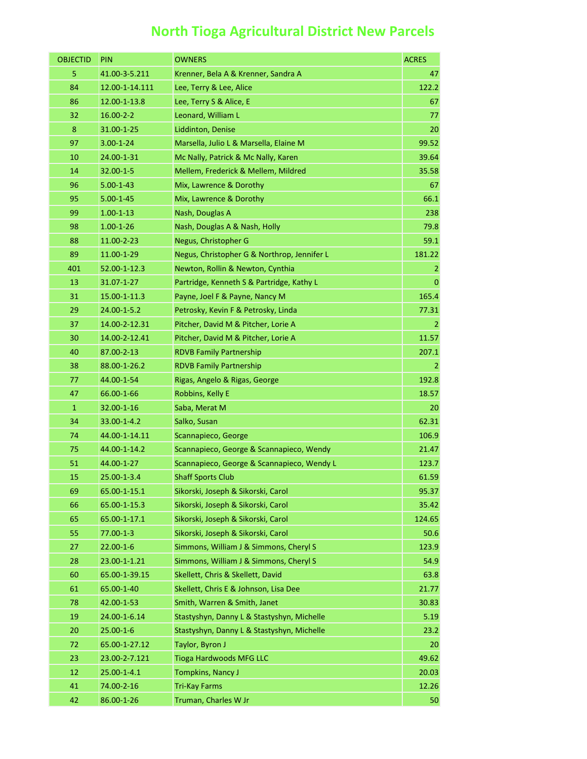## **North Tioga Agricultural District New Parcels**

| <b>OBJECTID</b> | PIN               | <b>OWNERS</b>                               | <b>ACRES</b>   |
|-----------------|-------------------|---------------------------------------------|----------------|
| 5               | 41.00-3-5.211     | Krenner, Bela A & Krenner, Sandra A         | 47             |
| 84              | 12.00-1-14.111    | Lee, Terry & Lee, Alice                     | 122.2          |
| 86              | 12.00-1-13.8      | Lee, Terry S & Alice, E                     | 67             |
| 32              | $16.00 - 2 - 2$   | Leonard, William L                          | 77             |
| 8               | 31.00-1-25        | Liddinton, Denise                           | 20             |
| 97              | $3.00 - 1 - 24$   | Marsella, Julio L & Marsella, Elaine M      | 99.52          |
| 10              | 24.00-1-31        | Mc Nally, Patrick & Mc Nally, Karen         | 39.64          |
| 14              | 32.00-1-5         | Mellem, Frederick & Mellem, Mildred         | 35.58          |
| 96              | $5.00 - 1 - 43$   | Mix, Lawrence & Dorothy                     | 67             |
| 95              | $5.00 - 1 - 45$   | Mix, Lawrence & Dorothy                     | 66.1           |
| 99              | $1.00 - 1 - 13$   | Nash, Douglas A                             | 238            |
| 98              | $1.00 - 1 - 26$   | Nash, Douglas A & Nash, Holly               | 79.8           |
| 88              | 11.00-2-23        | Negus, Christopher G                        | 59.1           |
| 89              | 11.00-1-29        | Negus, Christopher G & Northrop, Jennifer L | 181.22         |
| 401             | 52.00-1-12.3      | Newton, Rollin & Newton, Cynthia            | $\overline{2}$ |
| 13              | 31.07-1-27        | Partridge, Kenneth S & Partridge, Kathy L   | $\overline{0}$ |
| 31              | 15.00-1-11.3      | Payne, Joel F & Payne, Nancy M              | 165.4          |
| 29              | 24.00-1-5.2       | Petrosky, Kevin F & Petrosky, Linda         | 77.31          |
| 37              | 14.00-2-12.31     | Pitcher, David M & Pitcher, Lorie A         | 2              |
| 30              | 14.00-2-12.41     | Pitcher, David M & Pitcher, Lorie A         | 11.57          |
| 40              | 87.00-2-13        | <b>RDVB Family Partnership</b>              | 207.1          |
| 38              | 88.00-1-26.2      | <b>RDVB Family Partnership</b>              | $\overline{2}$ |
| 77              | 44.00-1-54        | Rigas, Angelo & Rigas, George               | 192.8          |
| 47              | 66.00-1-66        | Robbins, Kelly E                            | 18.57          |
| $\mathbf{1}$    | 32.00-1-16        | Saba, Merat M                               | 20             |
| 34              | 33.00-1-4.2       | Salko, Susan                                | 62.31          |
| 74              | 44.00-1-14.11     | Scannapieco, George                         | 106.9          |
| 75              | 44.00-1-14.2      | Scannapieco, George & Scannapieco, Wendy    | 21.47          |
| 51              | 44.00-1-27        | Scannapieco, George & Scannapieco, Wendy L  | 123.7          |
| 15              | 25.00-1-3.4       | <b>Shaff Sports Club</b>                    | 61.59          |
| 69              | 65.00-1-15.1      | Sikorski, Joseph & Sikorski, Carol          | 95.37          |
| 66              | 65.00-1-15.3      | Sikorski, Joseph & Sikorski, Carol          | 35.42          |
| 65              | 65.00-1-17.1      | Sikorski, Joseph & Sikorski, Carol          | 124.65         |
| 55              | $77.00 - 1 - 3$   | Sikorski, Joseph & Sikorski, Carol          | 50.6           |
| 27              | $22.00 - 1 - 6$   | Simmons, William J & Simmons, Cheryl S      | 123.9          |
| 28              | 23.00-1-1.21      | Simmons, William J & Simmons, Cheryl S      | 54.9           |
| 60              | 65.00-1-39.15     | Skellett, Chris & Skellett, David           | 63.8           |
| 61              | 65.00-1-40        | Skellett, Chris E & Johnson, Lisa Dee       | 21.77          |
| 78              | 42.00-1-53        | Smith, Warren & Smith, Janet                | 30.83          |
| 19              | 24.00-1-6.14      | Stastyshyn, Danny L & Stastyshyn, Michelle  | 5.19           |
| 20              | $25.00 - 1 - 6$   | Stastyshyn, Danny L & Stastyshyn, Michelle  | 23.2           |
| 72              | 65.00-1-27.12     | Taylor, Byron J                             | 20             |
| 23              | 23.00-2-7.121     | <b>Tioga Hardwoods MFG LLC</b>              | 49.62          |
| 12              | $25.00 - 1 - 4.1$ | Tompkins, Nancy J                           | 20.03          |
| 41              | 74.00-2-16        | <b>Tri-Kay Farms</b>                        | 12.26          |
| 42              | 86.00-1-26        | Truman, Charles W Jr                        | 50             |